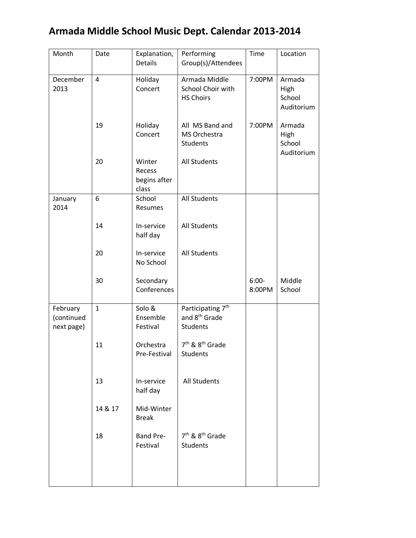## **Armada Middle School Music Dept. Calendar 2013-2014**

| Month                                | Date           | Explanation,<br><b>Details</b>            | Performing<br>Group(s)/Attendees                                              | Time              | Location                               |
|--------------------------------------|----------------|-------------------------------------------|-------------------------------------------------------------------------------|-------------------|----------------------------------------|
| December<br>2013                     | $\overline{4}$ | Holiday<br>Concert                        | Armada Middle<br>School Choir with<br><b>HS Choirs</b>                        | 7:00PM            | Armada<br>High<br>School<br>Auditorium |
|                                      | 19             | Holiday<br>Concert                        | All MS Band and<br>MS Orchestra<br><b>Students</b>                            | 7:00PM            | Armada<br>High<br>School<br>Auditorium |
|                                      | 20             | Winter<br>Recess<br>begins after<br>class | <b>All Students</b>                                                           |                   |                                        |
| January<br>2014                      | 6              | School<br>Resumes                         | <b>All Students</b>                                                           |                   |                                        |
|                                      | 14             | In-service<br>half day                    | <b>All Students</b>                                                           |                   |                                        |
|                                      | 20             | In-service<br>No School                   | <b>All Students</b>                                                           |                   |                                        |
|                                      | 30             | Secondary<br>Conferences                  |                                                                               | $6:00-$<br>8:00PM | Middle<br>School                       |
| February<br>(continued<br>next page) | $\mathbf{1}$   | Solo &<br>Ensemble<br>Festival            | Participating 7 <sup>th</sup><br>and 8 <sup>th</sup> Grade<br><b>Students</b> |                   |                                        |
|                                      | 11             | Orchestra<br>Pre-Festival                 | 7 <sup>th</sup> & 8 <sup>th</sup> Grade<br>Students                           |                   |                                        |
|                                      | 13             | In-service<br>half day                    | <b>All Students</b>                                                           |                   |                                        |
|                                      | 14 & 17        | Mid-Winter<br><b>Break</b>                |                                                                               |                   |                                        |
|                                      | 18             | Band Pre-<br>Festival                     | 7 <sup>th</sup> & 8 <sup>th</sup> Grade<br><b>Students</b>                    |                   |                                        |
|                                      |                |                                           |                                                                               |                   |                                        |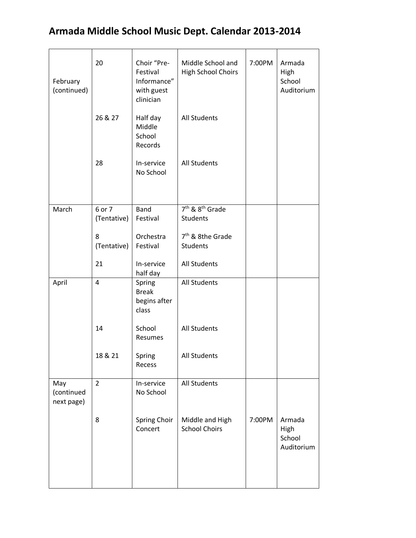## **Armada Middle School Music Dept. Calendar 2013-2014**

| February<br>(continued)         | 20             | Choir "Pre-<br>Festival<br>Informance"<br>with guest<br>clinician | Middle School and<br><b>High School Choirs</b> | 7:00PM | Armada<br>High<br>School<br>Auditorium |
|---------------------------------|----------------|-------------------------------------------------------------------|------------------------------------------------|--------|----------------------------------------|
|                                 | 26 & 27        | Half day<br>Middle<br>School<br>Records                           | <b>All Students</b>                            |        |                                        |
|                                 | 28             | In-service<br>No School                                           | <b>All Students</b>                            |        |                                        |
| March                           | 6 or 7         | <b>Band</b>                                                       | 7 <sup>th</sup> & 8 <sup>th</sup> Grade        |        |                                        |
|                                 | (Tentative)    | Festival                                                          | <b>Students</b>                                |        |                                        |
|                                 | 8              | Orchestra                                                         | 7 <sup>th</sup> & 8the Grade                   |        |                                        |
|                                 | (Tentative)    | Festival                                                          | <b>Students</b>                                |        |                                        |
|                                 | 21             | In-service<br>half day                                            | <b>All Students</b>                            |        |                                        |
| April                           | 4              | Spring<br><b>Break</b><br>begins after<br>class                   | <b>All Students</b>                            |        |                                        |
|                                 | 14             | School<br>Resumes                                                 | <b>All Students</b>                            |        |                                        |
|                                 | 18 & 21        | Spring<br>Recess                                                  | <b>All Students</b>                            |        |                                        |
| May<br>(continued<br>next page) | $\overline{2}$ | In-service<br>No School                                           | <b>All Students</b>                            |        |                                        |
|                                 | 8              | Spring Choir<br>Concert                                           | Middle and High<br><b>School Choirs</b>        | 7:00PM | Armada<br>High<br>School<br>Auditorium |